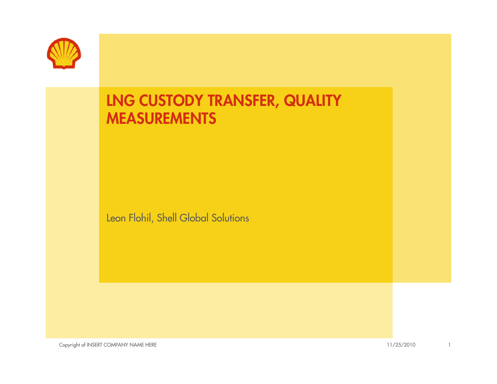

# **LNG CUSTODY TRANSFER, QUALITY MEASUREMENTS**

Leon Flohil, Shell Global Solutions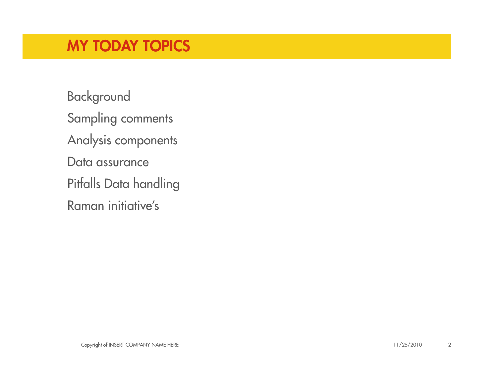## **MY TODAY TOPICS**

Background Sampling comments Analysis components Data assurance Pitfalls Data handling Raman initiative's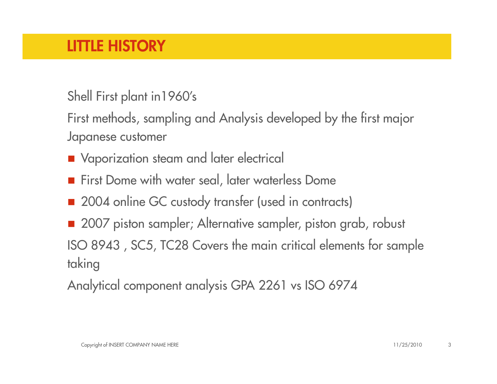Shell First plant in1960's

First methods, sampling and Analysis developed by the first major Japanese customer

- **Naporization steam and later electrical**
- **First Dome with water seal, later waterless Dome**
- 2004 online GC custody transfer (used in contracts)
- 2007 piston sampler; Alternative sampler, piston grab, robust ISO 8943 , SC5, TC28 Covers the main critical elements for sample taking

Analytical component analysis GPA 2261 vs ISO 6974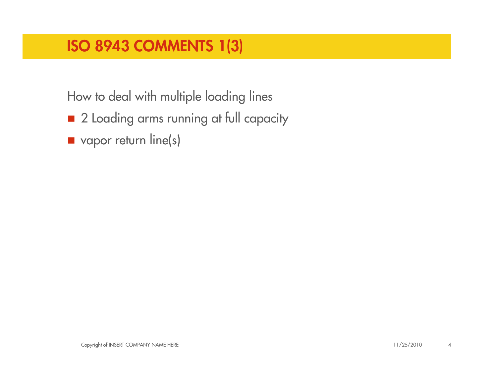## **ISO 8943 COMMENTS 1(3)**

How to deal with multiple loading lines

- 2 Loading arms running at full capacity
- vapor return line(s)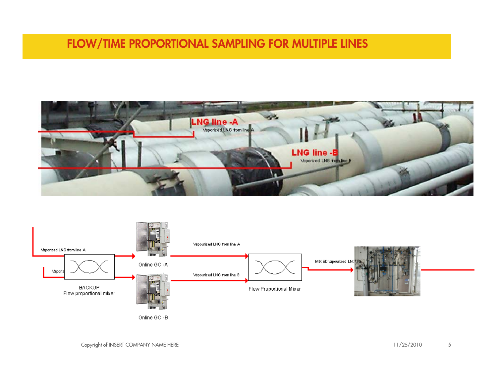#### **FLOW/TIME PROPORTIONAL SAMPLING FOR MULTIPLE LINES**



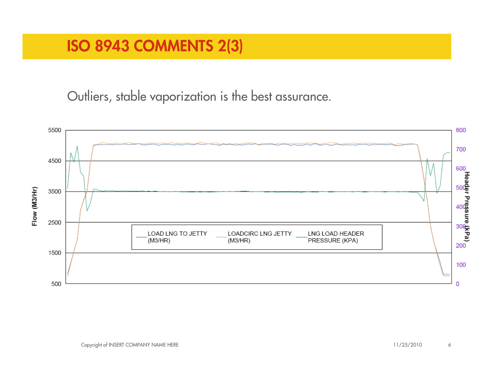## **ISO 8943 COMMENTS 2(3)**

Outliers, stable vaporization is the best assurance.

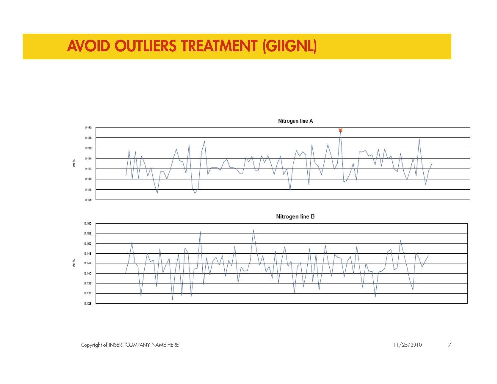## **AVOID OUTLIERS TREATMENT (GIIGNL)**

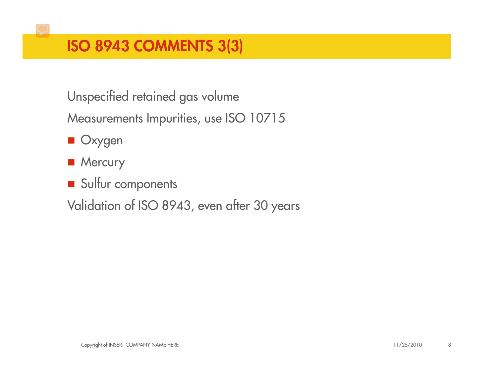## **ISO 8943 COMMENTS 3(3)**

Unspecified retained gas volume

Measurements Impurities, use ISO 10715

- Oxygen
- **Mercury**
- Sulfur components
- Validation of ISO 8943, even after 30 years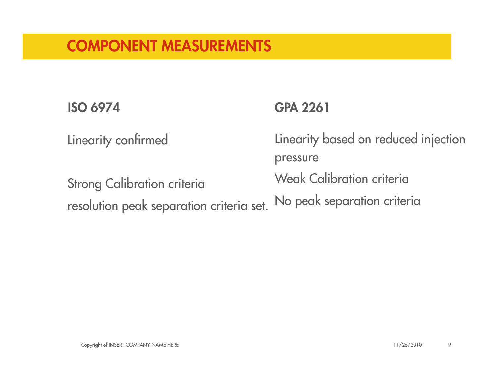Linearity confirmed

**ISO 6974 GPA 2261**

Linearity based on reduced injection pressure

Weak Calibration criteria

No peak separation criteria

Strong Calibration criteria resolution peak separation criteria set.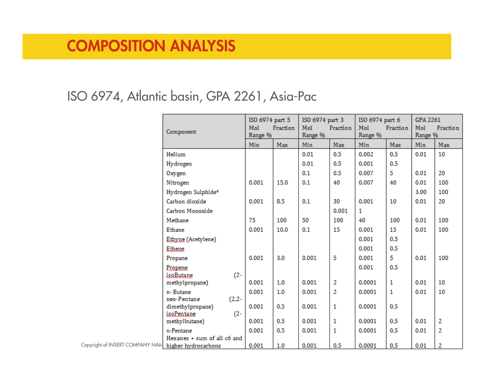## **COMPOSITION ANALYSIS**

#### ISO 6974, Atlantic basin, GPA 2261, Asia-Pac

|                                                     |                                      | ISO 6974 part 5 |      | ISO 6974 part 3            |              | ISO 6974 part 6            |              | GPA 2261                   |                |
|-----------------------------------------------------|--------------------------------------|-----------------|------|----------------------------|--------------|----------------------------|--------------|----------------------------|----------------|
|                                                     | Component                            |                 |      | Mol<br>Fraction<br>Range % |              | Mol<br>Fraction<br>Range % |              | Mol<br>Fraction<br>Range % |                |
|                                                     |                                      | Range %<br>Min  | Max  | Min                        | Max          | Min                        | Max          | Min                        | Max            |
|                                                     | Helium                               |                 |      | 0.01                       | 0.5          | 0.002                      | 0.5          | 0.01                       | 10             |
|                                                     | Hydrogen                             |                 |      | 0.01                       | 0.5          | 0.001                      | 0.5          |                            |                |
|                                                     | Oxygen                               |                 |      | 0.1                        | 0.5          | 0.007                      | 5.           | 0.01                       | 20             |
|                                                     | Nitrogen                             | 0.001           | 15.0 | 0.1                        | 40           | 0.007                      | 40           | 0.01                       | 100            |
|                                                     | Hydrogen Sulphide <sup>4</sup>       |                 |      |                            |              |                            |              | 3.00                       | 100            |
|                                                     | Carbon dioxide                       | 0.001           | 8.5  | 0.1                        | 30           | 0.001                      | 10           | 0.01                       | 20             |
|                                                     | Carbon Monoxide                      |                 |      |                            | 0.001        | 1                          |              |                            |                |
|                                                     | Methane                              | 75              | 100  | 50                         | 100          | 40                         | 100          | 0.01                       | 100            |
|                                                     | Ethane                               | 0.001           | 10.0 | 0.1                        | 15           | 0.001                      | 15           | 0.01                       | 100            |
|                                                     | Ethyne (Acetylene)                   |                 |      |                            |              | 0.001                      | 0.5          |                            |                |
|                                                     | Ethene                               |                 |      |                            |              | 0.001                      | 0.5          |                            |                |
|                                                     | Propane                              | 0.001           | 3.0  | 0.001                      | 5            | 0.001                      | 5            | 0.01                       | 100            |
|                                                     | Propene                              |                 |      |                            |              | 0.001                      | 0.5          |                            |                |
|                                                     | isoButane<br>$(2 -$                  |                 |      |                            |              |                            |              |                            |                |
|                                                     | methylpropane)                       | 0.001           | 1.0  | 0.001                      | 2            | 0.0001                     | $\mathbf{1}$ | 0.01                       | 10             |
|                                                     | n-Butane<br>neo-Pentane<br>$(2, 2 -$ | 0.001           | 1.0  | 0.001                      | 2            | 0.0001                     | $\mathbf{1}$ | 0.01                       | 10             |
|                                                     | dimethylpropane)                     | 0.001           | 0.5  | 0.001                      | $\mathbf{1}$ | 0.0001                     | 0.5          |                            |                |
|                                                     | $(2 -$<br>isoPentane                 |                 |      |                            |              |                            |              |                            |                |
|                                                     | methylbutane)                        | 0.001           | 0.5  | 0.001                      | $\mathbf{1}$ | 0.0001                     | 0.5          | 0.01                       | 2              |
|                                                     | n-Pentane                            | 0.001           | 0.5  | 0.001                      | 1            | 0.0001                     | 0.5          | 0.01                       | 2              |
| Copyright of INSERT COMPANY NAN higher hydrocarbons | Hexanes + sum of all c6 and          | 0.001           | 1.0  | 0.001                      | 0.5          | 0.0001                     | 0.5          | 0.01                       | $\overline{2}$ |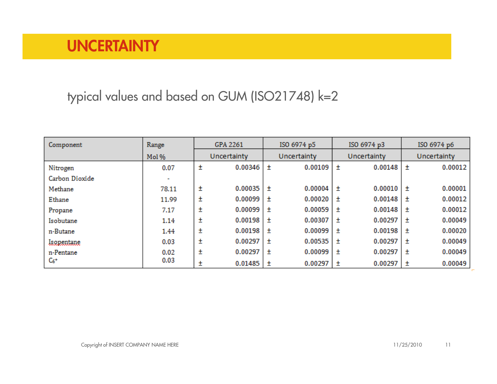## typical values and based on GUM (ISO21748) k=2

| Component      | Range | GPA 2261    |         | ISO 6974 p5 |         | ISO 6974 p3 |         | ISO 6974 p6 |         |
|----------------|-------|-------------|---------|-------------|---------|-------------|---------|-------------|---------|
|                | Mol%  | Uncertainty |         | Uncertainty |         | Uncertainty |         | Uncertainty |         |
| Nitrogen       | 0.07  | Ŧ           | 0.00346 | ±           | 0.00109 | 士           | 0.00148 | 土           | 0.00012 |
| Carbon Dioxide |       |             |         |             |         |             |         |             |         |
| Methane        | 78.11 | Ŧ           | 0.00035 | 士           | 0.00004 | 士           | 0.00010 | $\pm$       | 0.00001 |
| Ethane         | 11.99 | Ŧ           | 0.00099 | 士           | 0.00020 | 士           | 0.00148 | 士           | 0.00012 |
| Propane        | 7.17  | Ŧ           | 0.00099 | Ŧ           | 0.00059 | 士           | 0.00148 | 士           | 0.00012 |
| Isobutane      | 1.14  | Ŧ           | 0.00198 | Ŧ           | 0.00307 | 士           | 0.00297 | 土           | 0.00049 |
| n-Butane       | 1.44  | Ŧ           | 0.00198 | 土           | 0.00099 | $\pm$       | 0.00198 | $+$         | 0.00020 |
| Isopentane     | 0.03  | Ŧ           | 0.00297 | 士           | 0.00535 | $\pm$       | 0.00297 | $\pm$       | 0.00049 |
| n-Pentane      | 0.02  | Ŧ           | 0.00297 | 士           | 0.00099 | 士           | 0.00297 | 士           | 0.00049 |
| $C_6$ +        | 0.03  | ±           | 0.01485 | 土           | 0.00297 | 士           | 0.00297 | 土           | 0.00049 |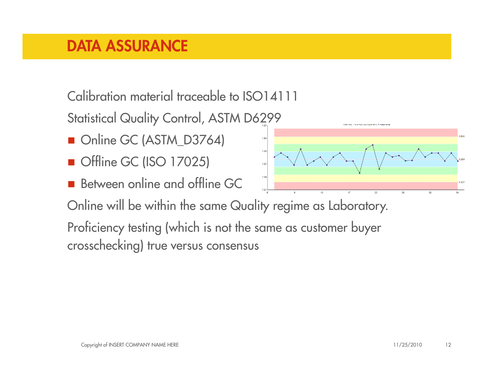## **DATA ASSURANCE**

Calibration material traceable to ISO14111

Statistical Quality Control, ASTM D6299

- Online GC (ASTM\_D3764)
- **Offline GC (ISO 17025)**
- **Between online and offline GC**

Online will be within the same Quality regime as Laboratory.

Proficiency testing (which is not the same as customer buyer crosschecking) true versus consensus

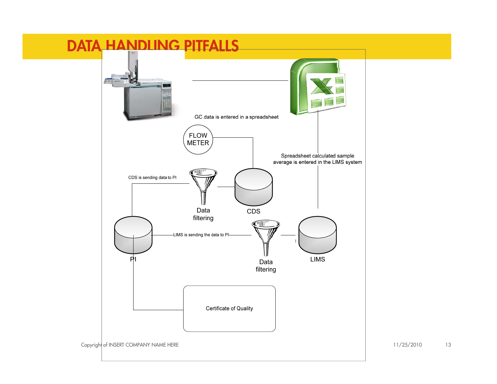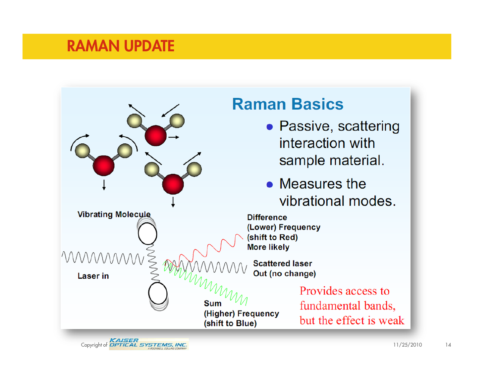## **RAMAN UPDATE**



Copyright of **CALLACTER**<br>Copyright of **OPTICAL SYSTEMS, INC.** 

### **Raman Basics**

- Passive, scattering interaction with sample material.
- $\bullet$  Measures the vibrational modes.

**Difference** (Lower) Frequency (shift to Red) **More likely** 

**Scattered laser** Out (no change)

> Provides access to fundamental bands, but the effect is weak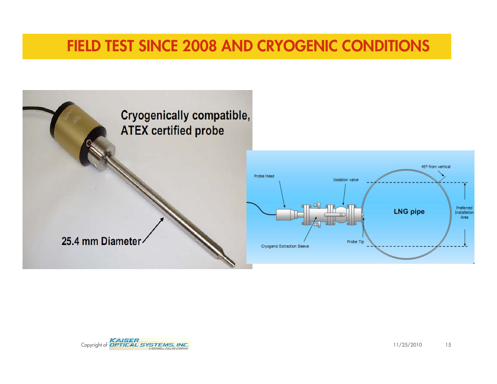## **FIELD TEST SINCE 2008 AND CRYOGENIC CONDITIONS**



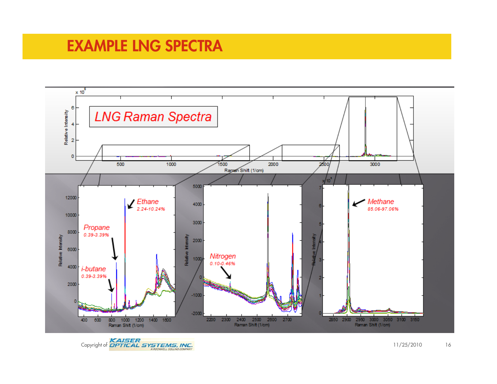## **EXAMPLE LNG SPECTRA**